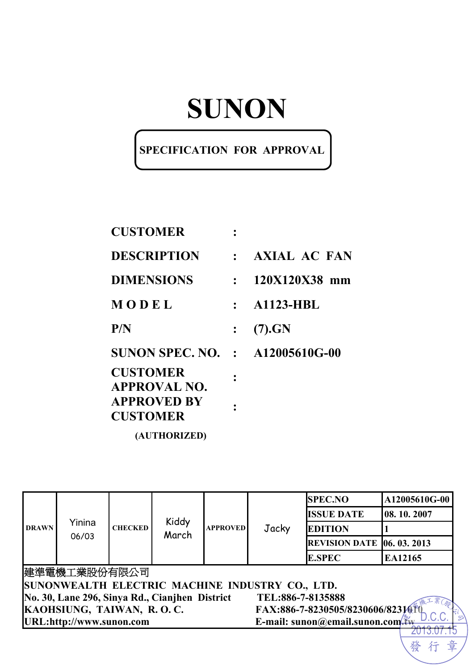# **SUNON**

#### **SPECIFICATION FOR APPROVAL**

| <b>CUSTOMER</b>                        |              |                  |
|----------------------------------------|--------------|------------------|
| <b>DESCRIPTION</b>                     |              | $:$ AXIAL AC FAN |
| <b>DIMENSIONS</b>                      | $\bullet$    | 120X120X38 mm    |
| MODEL                                  | $\mathbf{r}$ | <b>A1123-HBL</b> |
| P/N                                    |              | (7).GN           |
| <b>SUNON SPEC. NO. : A12005610G-00</b> |              |                  |
| <b>CUSTOMER</b><br><b>APPROVAL NO.</b> |              |                  |
| <b>APPROVED BY</b><br><b>CUSTOMER</b>  |              |                  |

**(AUTHORIZED)** 

|              | Yinina<br>06/03                                               |                | Kiddy<br>March | <b>APPROVED</b> |                                                 | <b>SPEC.NO</b>                    | A12005610G-00 |  |
|--------------|---------------------------------------------------------------|----------------|----------------|-----------------|-------------------------------------------------|-----------------------------------|---------------|--|
| <b>DRAWN</b> |                                                               |                |                |                 | Jacky                                           | <b>ISSUE DATE</b>                 | 08.10.2007    |  |
|              |                                                               | <b>CHECKED</b> |                |                 |                                                 | <b>EDITION</b>                    |               |  |
|              |                                                               |                |                |                 |                                                 | <b>REVISION DATE 06. 03. 2013</b> |               |  |
|              |                                                               |                |                |                 |                                                 | <b>E.SPEC</b>                     | EA12165       |  |
|              | 建準電機工業股份有限公司                                                  |                |                |                 |                                                 |                                   |               |  |
|              |                                                               |                |                |                 | SUNONWEALTH ELECTRIC MACHINE INDUSTRY CO., LTD. |                                   |               |  |
|              | No. 30, Lane 296, Sinya Rd., Cianjhen District                |                |                |                 | TEL:886-7-8135888                               |                                   |               |  |
|              | KAOHSIUNG, TAIWAN, R.O.C.<br>FAX:886-7-8230505/8230606/823141 |                |                |                 |                                                 |                                   |               |  |
|              | URL:http://www.sunon.com<br>E-mail: sunon@email.sunon.com     |                |                |                 |                                                 |                                   |               |  |
|              |                                                               |                |                |                 |                                                 |                                   |               |  |

行

發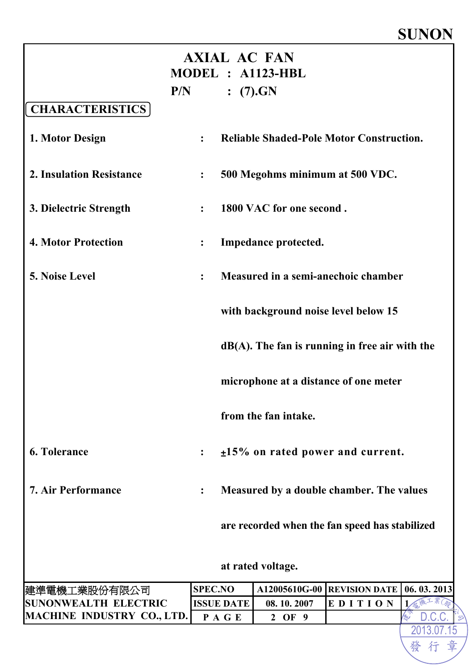### **SUNON**

| <b>AXIAL AC FAN</b><br>MODEL : A1123-HBL<br>(7).GN<br>P/N |                  |                   |                                                   |         |  |            |
|-----------------------------------------------------------|------------------|-------------------|---------------------------------------------------|---------|--|------------|
| <b>CHARACTERISTICS</b>                                    |                  |                   |                                                   |         |  |            |
| 1. Motor Design                                           | $\ddot{\cdot}$   |                   | <b>Reliable Shaded-Pole Motor Construction.</b>   |         |  |            |
| 2. Insulation Resistance                                  | $\ddot{\bullet}$ |                   | 500 Megohms minimum at 500 VDC.                   |         |  |            |
| 3. Dielectric Strength                                    | $\ddot{\cdot}$   |                   | 1800 VAC for one second.                          |         |  |            |
| <b>4. Motor Protection</b>                                | $\ddot{\cdot}$   |                   | Impedance protected.                              |         |  |            |
| <b>5. Noise Level</b>                                     | $\ddot{\cdot}$   |                   | Measured in a semi-anechoic chamber               |         |  |            |
|                                                           |                  |                   | with background noise level below 15              |         |  |            |
|                                                           |                  |                   | $dB(A)$ . The fan is running in free air with the |         |  |            |
|                                                           |                  |                   | microphone at a distance of one meter             |         |  |            |
|                                                           |                  |                   | from the fan intake.                              |         |  |            |
| <b>6. Tolerance</b>                                       | $\ddot{\cdot}$   |                   | $±15\%$ on rated power and current.               |         |  |            |
| <b>7. Air Performance</b>                                 | $\ddot{\cdot}$   |                   | Measured by a double chamber. The values          |         |  |            |
|                                                           |                  |                   | are recorded when the fan speed has stabilized    |         |  |            |
|                                                           |                  |                   | at rated voltage.                                 |         |  |            |
| 建準電機工業股份有限公司                                              | <b>SPEC.NO</b>   |                   | A12005610G-00 REVISION DATE                       |         |  | 06.03.2013 |
| <b>SUNONWEALTH ELECTRIC</b>                               |                  | <b>ISSUE DATE</b> | 08.10.2007                                        | EDITION |  |            |
| <b>MACHINE INDUSTRY CO., LTD.</b>                         |                  | PAGE              | 2 OF 9                                            |         |  |            |
|                                                           |                  |                   |                                                   |         |  | 2013.07    |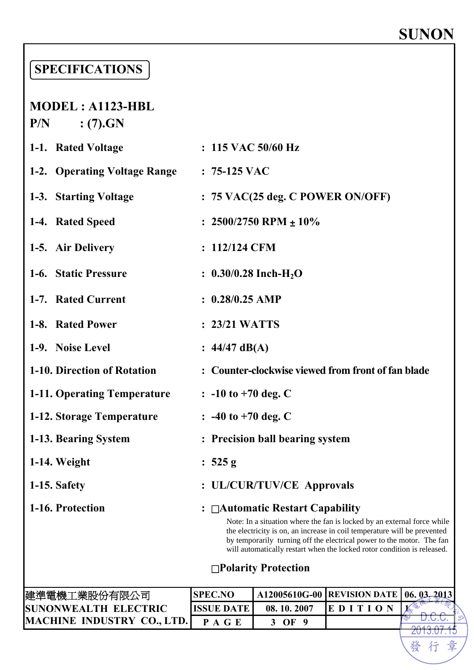# **SUNON**

### **SPECIFICATIONS**

#### **MODEL : A1123-HBL P/N : (7).GN**

| 1-1. Rated Voltage           | $: 115$ VAC 50/60 Hz                                                                                                                                                                         |
|------------------------------|----------------------------------------------------------------------------------------------------------------------------------------------------------------------------------------------|
| 1-2. Operating Voltage Range | $: 75-125$ VAC                                                                                                                                                                               |
| 1-3. Starting Voltage        | $: 75$ VAC(25 deg. C POWER ON/OFF)                                                                                                                                                           |
| 1-4. Rated Speed             | : $2500/2750$ RPM $\pm 10\%$                                                                                                                                                                 |
| 1-5. Air Delivery            | : 112/124 CFM                                                                                                                                                                                |
| 1-6. Static Pressure         | : $0.30/0.28$ Inch-H <sub>2</sub> O                                                                                                                                                          |
| 1-7. Rated Current           | $: 0.28/0.25$ AMP                                                                                                                                                                            |
| 1-8. Rated Power             | $: 23/21$ WATTS                                                                                                                                                                              |
| 1-9. Noise Level             | : $44/47$ dB(A)                                                                                                                                                                              |
| 1-10. Direction of Rotation  | : Counter-clockwise viewed from front of fan blade                                                                                                                                           |
| 1-11. Operating Temperature  | $\therefore$ -10 to +70 deg. C                                                                                                                                                               |
| 1-12. Storage Temperature    | $\therefore$ -40 to +70 deg. C                                                                                                                                                               |
| 1-13. Bearing System         | : Precision ball bearing system                                                                                                                                                              |
| 1-14. Weight                 | : $525 g$                                                                                                                                                                                    |
| 1-15. Safety                 | : UL/CUR/TUV/CE Approvals                                                                                                                                                                    |
| 1-16. Protection             | : $\Box$ Automatic Restart Capability<br>Note: In a situation where the fan is locked by an external force while<br>the electricity is on, an increase in coil temperature will be prevented |

#### □**Polarity Protection**

by temporarily turning off the electrical power to the motor. The fan will automatically restart when the locked rotor condition is released.

| 建準電機工業股份有限公司                      | <b>SPEC.NO</b> |            | A12005610G-00   REVISION DATE   06. 03. 2013 |  |
|-----------------------------------|----------------|------------|----------------------------------------------|--|
| <b>SUNONWEALTH ELECTRIC</b>       | ISSUE DATE     | 08.10.2007 | IE D I                                       |  |
| <b>MACHINE INDUSTRY CO., LTD.</b> | P A G E        | OF         |                                              |  |
|                                   |                |            |                                              |  |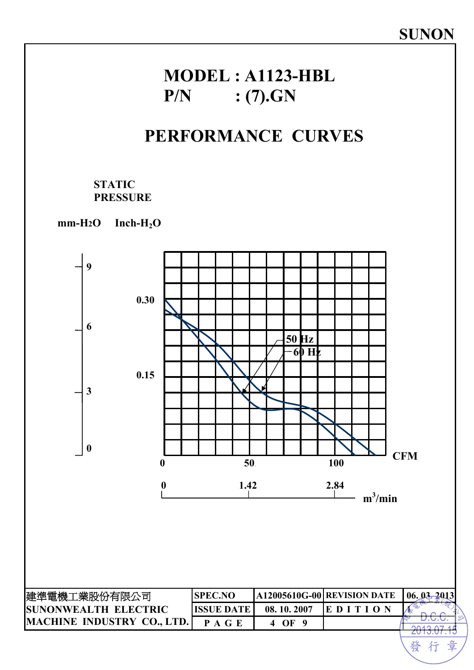### **MODEL : A1123-HBL P/N : (7).GN**

### **PERFORMANCE CURVES**

#### **STATIC PRESSURE**

**mm-H2O Inch-H2O**

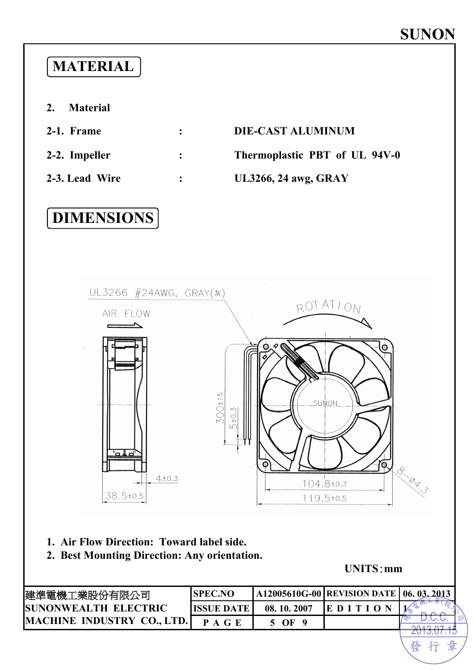### **MATERIAL**

- **2. Material**
- 
- 

#### **2-1. Frame : DIE-CAST ALUMINUM**

**2-2. Impeller : Thermoplastic PBT of UL 94V-0** 

**2-3. Lead Wire : UL3266, 24 awg, GRAY** 

### **DIMENSIONS**



- **1. Air Flow Direction: Toward label side.**
- **2. Best Mounting Direction: Any orientation.**

**UNITS**:**mm** 

發行章

| 建準電機工業股份有限公司                | <b>ISPEC.NO</b>   |            | A12005610G-00   REVISION DATE   06. 03. 2013 |  |
|-----------------------------|-------------------|------------|----------------------------------------------|--|
| <b>SUNONWEALTH ELECTRIC</b> | <b>ISSUE DATE</b> | 08.10.2007 | $E$ DITIO                                    |  |
| MACHINE INDUSTRY CO., LTD.  | P A G E           | 5 OF 9     |                                              |  |
|                             |                   |            |                                              |  |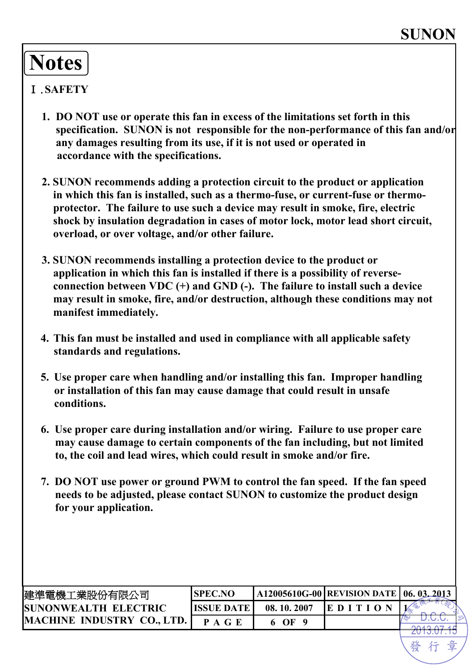# **Notes**

#### Ⅰ.**SAFETY**

- **1. DO NOT use or operate this fan in excess of the limitations set forth in this specification. SUNON is not responsible for the non-performance of this fan and/or any damages resulting from its use, if it is not used or operated in accordance with the specifications.**
- **2. SUNON recommends adding a protection circuit to the product or application in which this fan is installed, such as a thermo-fuse, or current-fuse or thermoprotector. The failure to use such a device may result in smoke, fire, electric shock by insulation degradation in cases of motor lock, motor lead short circuit, overload, or over voltage, and/or other failure.**
- **3. SUNON recommends installing a protection device to the product or application in which this fan is installed if there is a possibility of reverseconnection between VDC (+) and GND (-). The failure to install such a device may result in smoke, fire, and/or destruction, although these conditions may not manifest immediately.**
- **4. This fan must be installed and used in compliance with all applicable safety standards and regulations.**
- **5. Use proper care when handling and/or installing this fan. Improper handling or installation of this fan may cause damage that could result in unsafe conditions.**
- **6. Use proper care during installation and/or wiring. Failure to use proper care may cause damage to certain components of the fan including, but not limited to, the coil and lead wires, which could result in smoke and/or fire.**
- **7. DO NOT use power or ground PWM to control the fan speed. If the fan speed needs to be adjusted, please contact SUNON to customize the product design for your application.**

| 建準電機工業股份有限公司                 | <b>ISPEC.NO</b> |            | A12005610G-00   REVISION DATE   06. 03. 2013 |  |
|------------------------------|-----------------|------------|----------------------------------------------|--|
| <b>ISUNONWEALTH ELECTRIC</b> | IISSUE DATE     | 08.10.2007 | EDI                                          |  |
| MACHINE INDUSTRY CO., LTD.   | P A G F         | $\Omega$ F |                                              |  |
|                              |                 |            |                                              |  |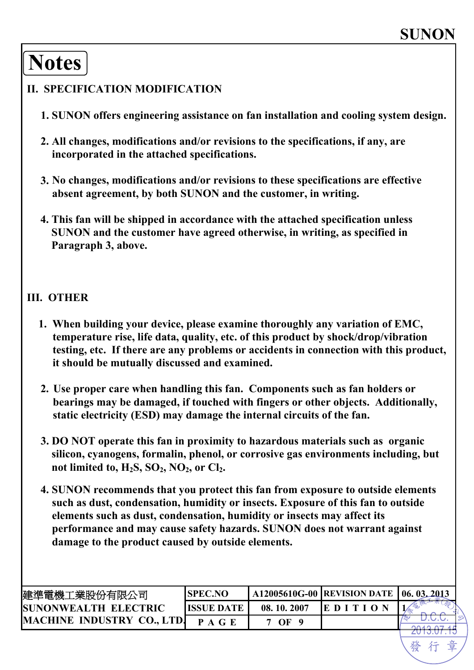## **Notes**

#### **II. SPECIFICATION MODIFICATION**

- **1. SUNON offers engineering assistance on fan installation and cooling system design.**
- **2. All changes, modifications and/or revisions to the specifications, if any, are incorporated in the attached specifications.**
- **3. No changes, modifications and/or revisions to these specifications are effective absent agreement, by both SUNON and the customer, in writing.**
- **4. This fan will be shipped in accordance with the attached specification unless SUNON and the customer have agreed otherwise, in writing, as specified in Paragraph 3, above.**

#### **III. OTHER**

- **1. When building your device, please examine thoroughly any variation of EMC, temperature rise, life data, quality, etc. of this product by shock/drop/vibration testing, etc. If there are any problems or accidents in connection with this product, it should be mutually discussed and examined.**
- **2. Use proper care when handling this fan. Components such as fan holders or bearings may be damaged, if touched with fingers or other objects. Additionally, static electricity (ESD) may damage the internal circuits of the fan.**
- **3. DO NOT operate this fan in proximity to hazardous materials such as organic silicon, cyanogens, formalin, phenol, or corrosive gas environments including, but**  not limited to, H<sub>2</sub>S, SO<sub>2</sub>, NO<sub>2</sub>, or Cl<sub>2</sub>.
- **4. SUNON recommends that you protect this fan from exposure to outside elements such as dust, condensation, humidity or insects. Exposure of this fan to outside elements such as dust, condensation, humidity or insects may affect its performance and may cause safety hazards. SUNON does not warrant against damage to the product caused by outside elements.**

| 建準電機工業股份有限公司                      | <b>SPEC.NO</b>     |            | A12005610G-00   REVISION DATE   06. 03. 2013 |  |
|-----------------------------------|--------------------|------------|----------------------------------------------|--|
| <b>ISUNONWEALTH ELECTRIC</b>      | <b>IISSUE DATE</b> | 08.10.2007 | EDITE                                        |  |
| <b>MACHINE INDUSTRY CO., LTD.</b> | P A G F            | $\Omega$   |                                              |  |
|                                   |                    |            |                                              |  |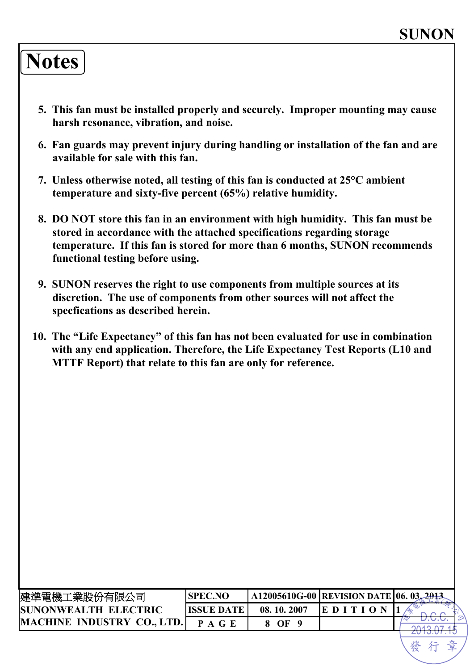## **Notes**

- **5. This fan must be installed properly and securely. Improper mounting may cause harsh resonance, vibration, and noise.**
- **6. Fan guards may prevent injury during handling or installation of the fan and are available for sale with this fan.**
- **7. Unless otherwise noted, all testing of this fan is conducted at 25°C ambient temperature and sixty-five percent (65%) relative humidity.**
- **8. DO NOT store this fan in an environment with high humidity. This fan must be stored in accordance with the attached specifications regarding storage temperature. If this fan is stored for more than 6 months, SUNON recommends functional testing before using.**
- **9. SUNON reserves the right to use components from multiple sources at its discretion. The use of components from other sources will not affect the specfications as described herein.**
- **10. The "Life Expectancy" of this fan has not been evaluated for use in combination with any end application. Therefore, the Life Expectancy Test Reports (L10 and MTTF Report) that relate to this fan are only for reference.**

| 建準電機工業股份有限公司                      | <b>ISPEC.NO</b>    |            | A12005610G-00   REVISION DATE   06. 03. | 2013 |
|-----------------------------------|--------------------|------------|-----------------------------------------|------|
| <b>SUNONWEALTH ELECTRIC</b>       | <b>IISSUE DATE</b> | 08.10.2007 | EDIT                                    |      |
| <b>MACHINE INDUSTRY CO., LTD.</b> |                    | $\Omega$   |                                         |      |
|                                   |                    |            |                                         |      |